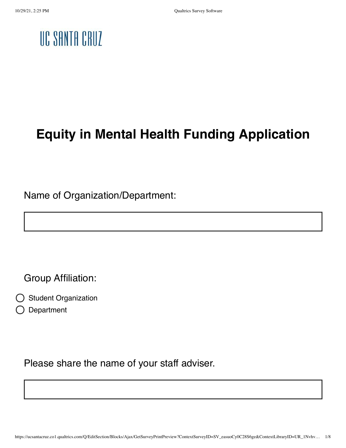### UC SANTA CRUZ

### **Equity in Mental Health Funding Application**

Name of Organization/Department:

Group Affiliation:

- Student Organization
- Department

Please share the name of your staff adviser.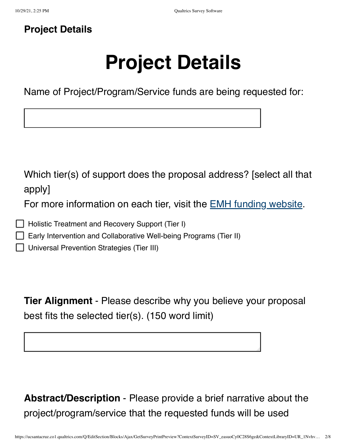Г

#### **Project Details**

# **Project Details**

Name of Project/Program/Service funds are being requested for:

| Which tier(s) of support does the proposal address? [select all that<br>apply]<br>For more information on each tier, visit the EMH funding website.                  |  |
|----------------------------------------------------------------------------------------------------------------------------------------------------------------------|--|
| Holistic Treatment and Recovery Support (Tier I)<br>Early Intervention and Collaborative Well-being Programs (Tier II)<br>Universal Prevention Strategies (Tier III) |  |
|                                                                                                                                                                      |  |

**Tier Alignment** - Please describe why you believe your proposal best fits the selected tier(s). (150 word limit)

**Abstract/Description** - Please provide a brief narrative about the project/program/service that the requested funds will be used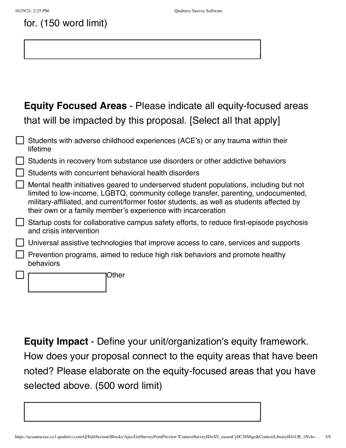#### for. (150 word limit)

#### **Equity Focused Areas** - Please indicate all equity-focused areas that will be impacted by this proposal. [Select all that apply]

| Students with adverse childhood experiences (ACE's) or any trauma within their<br>lifetime                                                                                                                                                                                                                                               |
|------------------------------------------------------------------------------------------------------------------------------------------------------------------------------------------------------------------------------------------------------------------------------------------------------------------------------------------|
| Students in recovery from substance use disorders or other addictive behaviors                                                                                                                                                                                                                                                           |
| Students with concurrent behavioral health disorders                                                                                                                                                                                                                                                                                     |
| Mental health initiatives geared to underserved student populations, including but not<br>limited to low-income, LGBTQ, community college transfer, parenting, undocumented,<br>military-affiliated, and current/former foster students, as well as students affected by<br>their own or a family member's experience with incarceration |
| Startup costs for collaborative campus safety efforts, to reduce first-episode psychosis<br>and crisis intervention                                                                                                                                                                                                                      |
| Universal assistive technologies that improve access to care, services and supports                                                                                                                                                                                                                                                      |
| Prevention programs, aimed to reduce high risk behaviors and promote healthy<br>behaviors                                                                                                                                                                                                                                                |
| Other                                                                                                                                                                                                                                                                                                                                    |

**Equity Impact** - Define your unit/organization's equity framework. How does your proposal connect to the equity areas that have been noted? Please elaborate on the equity-focused areas that you have selected above. (500 word limit)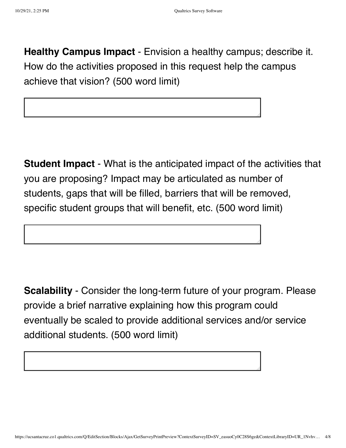**Healthy Campus Impact** - Envision a healthy campus; describe it. How do the activities proposed in this request help the campus achieve that vision? (500 word limit)

**Student Impact** - What is the anticipated impact of the activities that you are proposing? Impact may be articulated as number of students, gaps that will be filled, barriers that will be removed, specific student groups that will benefit, etc. (500 word limit)

**Scalability** - Consider the long-term future of your program. Please provide a brief narrative explaining how this program could eventually be scaled to provide additional services and/or service additional students. (500 word limit)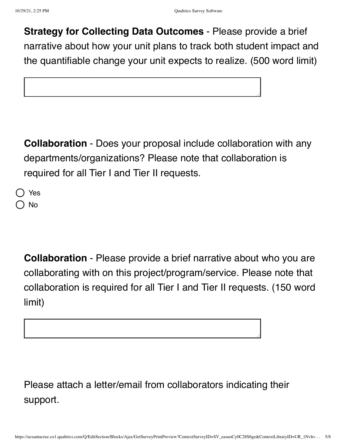**Strategy for Collecting Data Outcomes** - Please provide a brief narrative about how your unit plans to track both student impact and the quantifiable change your unit expects to realize. (500 word limit)

**Collaboration** - Does your proposal include collaboration with any departments/organizations? Please note that collaboration is required for all Tier I and Tier II requests.

Yes No

> **Collaboration** - Please provide a brief narrative about who you are collaborating with on this project/program/service. Please note that collaboration is required for all Tier I and Tier II requests. (150 word limit)

Please attach a letter/email from collaborators indicating their support.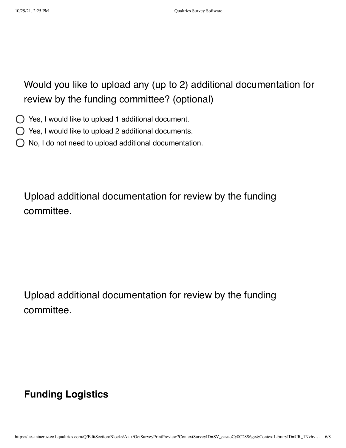Would you like to upload any (up to 2) additional documentation for review by the funding committee? (optional)

Yes, I would like to upload 1 additional document.

 $\bigcirc$  Yes, I would like to upload 2 additional documents.

No, I do not need to upload additional documentation.

Upload additional documentation for review by the funding committee.

Upload additional documentation for review by the funding committee.

#### **Funding Logistics**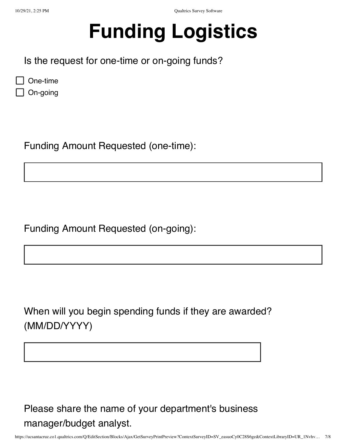## **Funding Logistics**

Is the request for one-time or on-going funds?

| One-time |
|----------|
|----------|

On-going

Funding Amount Requested (one-time):

Funding Amount Requested (on-going):

When will you begin spending funds if they are awarded? (MM/DD/YYYY)

Please share the name of your department's business manager/budget analyst.